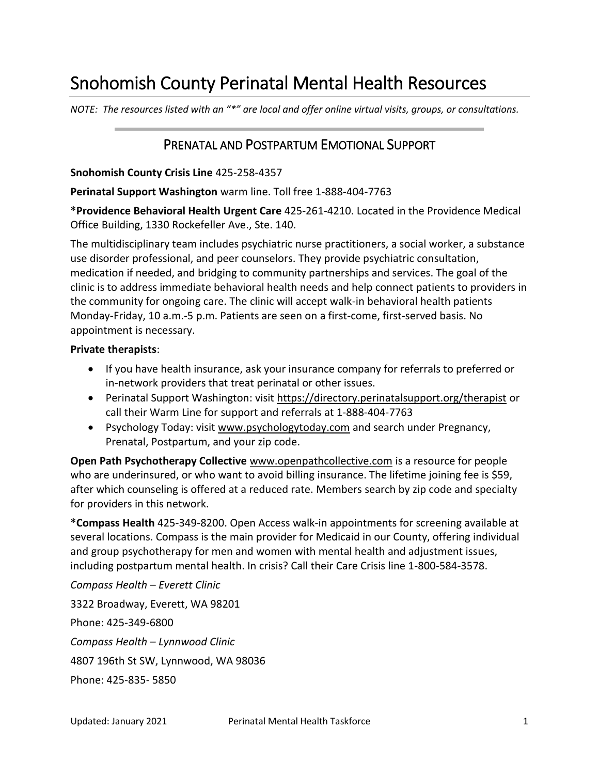# Snohomish County Perinatal Mental Health Resources

*NOTE: The resources listed with an "\*" are local and offer online virtual visits, groups, or consultations.* 

### PRENATAL AND POSTPARTUM EMOTIONAL SUPPORT

#### **Snohomish County Crisis Line** 425-258-4357

**Perinatal Support Washington** warm line. Toll free 1-888-404-7763

**\*Providence Behavioral Health Urgent Care** 425-261-4210. Located in the Providence Medical Office Building, 1330 Rockefeller Ave., Ste. 140.

The multidisciplinary team includes psychiatric nurse practitioners, a social worker, a substance use disorder professional, and peer counselors. They provide psychiatric consultation, medication if needed, and bridging to community partnerships and services. The goal of the clinic is to address immediate behavioral health needs and help connect patients to providers in the community for ongoing care. The clinic will accept walk-in behavioral health patients Monday-Friday, 10 a.m.-5 p.m. Patients are seen on a first-come, first-served basis. No appointment is necessary.

#### **Private therapists**:

- If you have health insurance, ask your insurance company for referrals to preferred or in-network providers that treat perinatal or other issues.
- Perinatal Support Washington: visit<https://directory.perinatalsupport.org/therapist>or call their Warm Line for support and referrals at 1-888-404-7763
- Psychology Today: visit [www.psychologytoday.com](http://www.psychologytoday.com/) and search under Pregnancy, Prenatal, Postpartum, and your zip code.

**Open Path Psychotherapy Collective** [www.openpathcollective.com](http://www.openpathcollective.com/) is a resource for people who are underinsured, or who want to avoid billing insurance. The lifetime joining fee is \$59, after which counseling is offered at a reduced rate. Members search by zip code and specialty for providers in this network.

**\*Compass Health** 425-349-8200. Open Access walk-in appointments for screening available at several locations. Compass is the main provider for Medicaid in our County, offering individual and group psychotherapy for men and women with mental health and adjustment issues, including postpartum mental health. In crisis? Call their Care Crisis line 1-800-584-3578.

*Compass Health – Everett Clinic*  3322 Broadway, Everett, WA 98201 Phone: 425-349-6800 *Compass Health – Lynnwood Clinic*  4807 196th St SW, Lynnwood, WA 98036 Phone: 425-835- 5850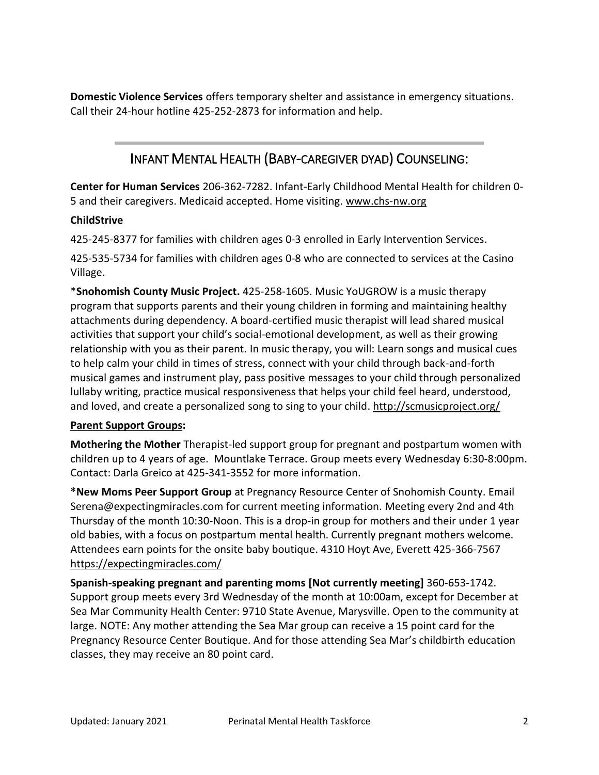**Domestic Violence Services** offers temporary shelter and assistance in emergency situations. Call their 24-hour hotline 425-252-2873 for information and help.

### INFANT MENTAL HEALTH (BABY-CAREGIVER DYAD) COUNSELING:

**Center for Human Services** 206-362-7282. Infant-Early Childhood Mental Health for children 0- 5 and their caregivers. Medicaid accepted. Home visiting. [www.chs-nw.org](http://www.chs-nw.org/) 

### **ChildStrive**

425-245-8377 for families with children ages 0-3 enrolled in Early Intervention Services.

425-535-5734 for families with children ages 0-8 who are connected to services at the Casino Village.

\***Snohomish County Music Project.** 425-258-1605. Music YoUGROW is a music therapy program that supports parents and their young children in forming and maintaining healthy attachments during dependency. A board-certified music therapist will lead shared musical activities that support your child's social-emotional development, as well as their growing relationship with you as their parent. In music therapy, you will: Learn songs and musical cues to help calm your child in times of stress, connect with your child through back-and-forth musical games and instrument play, pass positive messages to your child through personalized lullaby writing, practice musical responsiveness that helps your child feel heard, understood, and loved, and create a personalized song to sing to your child. http://scmusicproject.org/

#### **Parent Support Groups:**

**Mothering the Mother** Therapist-led support group for pregnant and postpartum women with children up to 4 years of age. Mountlake Terrace. Group meets every Wednesday 6:30-8:00pm. Contact: Darla Greico at 425-341-3552 for more information.

**\*New Moms Peer Support Group** at Pregnancy Resource Center of Snohomish County. Email Serena@expectingmiracles.com for current meeting information. Meeting every 2nd and 4th Thursday of the month 10:30-Noon. This is a drop-in group for mothers and their under 1 year old babies, with a focus on postpartum mental health. Currently pregnant mothers welcome. Attendees earn points for the onsite baby boutique. 4310 Hoyt Ave, Everett 425-366-7567 <https://expectingmiracles.com/>

**Spanish-speaking pregnant and parenting moms [Not currently meeting]** 360-653-1742. Support group meets every 3rd Wednesday of the month at 10:00am, except for December at Sea Mar Community Health Center: 9710 State Avenue, Marysville. Open to the community at large. NOTE: Any mother attending the Sea Mar group can receive a 15 point card for the Pregnancy Resource Center Boutique. And for those attending Sea Mar's childbirth education classes, they may receive an 80 point card.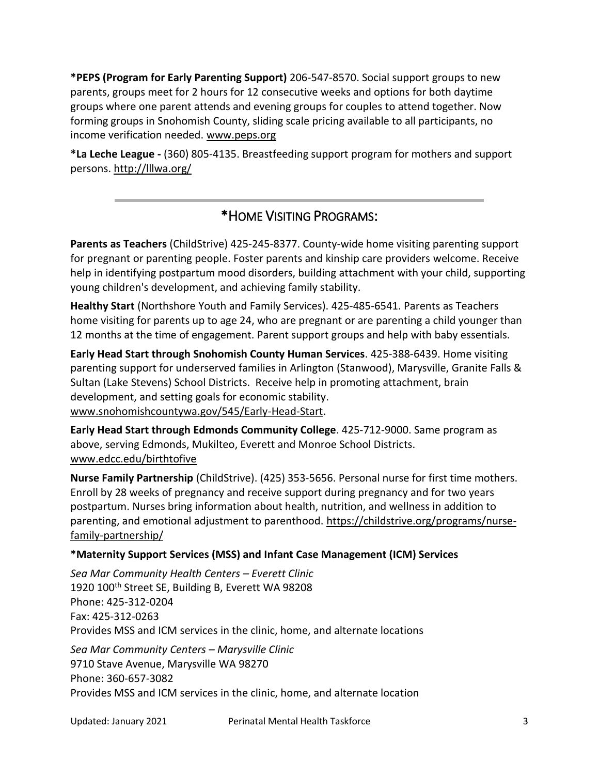**\*PEPS (Program for Early Parenting Support)** 206-547-8570. Social support groups to new parents, groups meet for 2 hours for 12 consecutive weeks and options for both daytime groups where one parent attends and evening groups for couples to attend together. Now forming groups in Snohomish County, sliding scale pricing available to all participants, no income verification needed. [www.peps.org](http://www.peps.org/) 

**\*La Leche League -** (360) 805-4135. Breastfeeding support program for mothers and support persons. http://lllwa.org/

### \*HOME VISITING PROGRAMS:

**Parents as Teachers** (ChildStrive) 425-245-8377. County-wide home visiting parenting support for pregnant or parenting people. Foster parents and kinship care providers welcome. Receive help in identifying postpartum mood disorders, building attachment with your child, supporting young children's development, and achieving family stability.

**Healthy Start** (Northshore Youth and Family Services). 425-485-6541. Parents as Teachers home visiting for parents up to age 24, who are pregnant or are parenting a child younger than 12 months at the time of engagement. Parent support groups and help with baby essentials.

**Early Head Start through Snohomish County Human Services**. 425-388-6439. Home visiting parenting support for underserved families in Arlington (Stanwood), Marysville, Granite Falls & Sultan (Lake Stevens) School Districts. Receive help in promoting attachment, brain development, and setting goals for economic stability. [www.snohomishcountywa.gov/545/Early-Head-Start.](http://www.snohomishcountywa.gov/545/Early-Head-Start)

**Early Head Start through Edmonds Community College**. 425-712-9000. Same program as above, serving Edmonds, Mukilteo, Everett and Monroe School Districts. [www.edcc.edu/birthtofive](http://www.edcc.edu/birthtofive) 

**Nurse Family Partnership** (ChildStrive). (425) 353-5656. Personal nurse for first time mothers. Enroll by 28 weeks of pregnancy and receive support during pregnancy and for two years postpartum. Nurses bring information about health, nutrition, and wellness in addition to parenting, and emotional adjustment to parenthood. [https://childstrive.org/programs/nurse](https://childstrive.org/programs/nurse-family-partnership/)[family-partnership/](https://childstrive.org/programs/nurse-family-partnership/) 

#### **\*Maternity Support Services (MSS) and Infant Case Management (ICM) Services**

*[Sea Mar Community Health Centers](https://www.seamar.org/) – Everett Clinic* 1920 100<sup>th</sup> Street SE, Building B, Everett WA 98208 Phone: 425-312-0204 Fax: 425-312-0263 Provides MSS and ICM services in the clinic, home, and alternate locations *[Sea Mar Community Centers](https://www.seamar.org/) – Marysville Clinic* 9710 Stave Avenue, Marysville WA 98270 Phone: 360-657-3082 Provides MSS and ICM services in the clinic, home, and alternate location

Updated: January 2021 Perinatal Mental Health Taskforce 3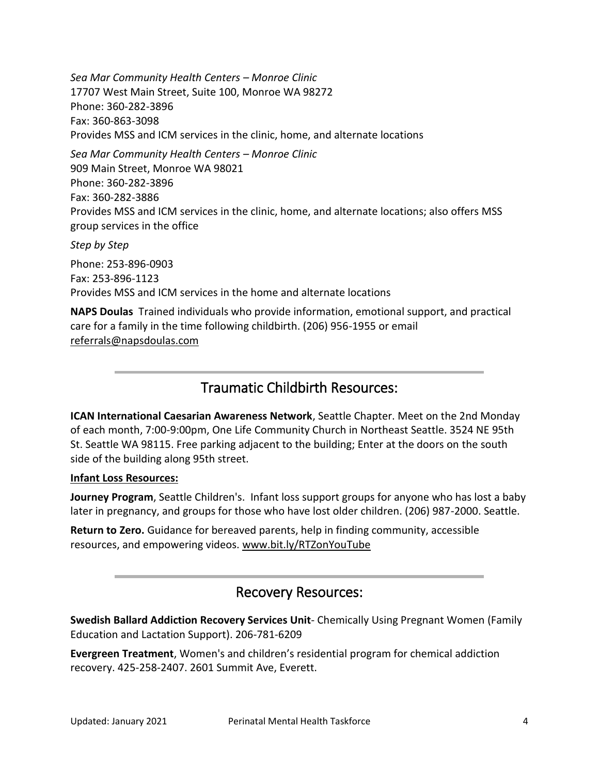*[Sea Mar Community Health Centers](https://www.seamar.org/) – Monroe Clinic* 17707 West Main Street, Suite 100, Monroe WA 98272 Phone: 360-282-3896 Fax: 360-863-3098 Provides MSS and ICM services in the clinic, home, and alternate locations *[Sea Mar Community Health Centers](https://www.seamar.org/) – Monroe Clinic*

909 Main Street, Monroe WA 98021 Phone: 360-282-3896 Fax: 360-282-3886 Provides MSS and ICM services in the clinic, home, and alternate locations; also offers MSS group services in the office

*[Step by Step](https://stepbystepfamily.org/)* 

Phone: 253-896-0903 Fax: 253-896-1123 Provides MSS and ICM services in the home and alternate locations

**NAPS Doulas** Trained individuals who provide information, emotional support, and practical care for a family in the time following childbirth. (206) 956-1955 or email [referrals@napsdoulas.com](mailto:referrals@napsdoulas.com) 

### Traumatic Childbirth Resources:

**ICAN International Caesarian Awareness Network**, Seattle Chapter. Meet on the 2nd Monday of each month, 7:00-9:00pm, One Life Community Church in Northeast Seattle. 3524 NE 95th St. Seattle WA 98115. Free parking adjacent to the building; Enter at the doors on the south side of the building along 95th street.

#### **Infant Loss Resources:**

**Journey Program**, Seattle Children's. Infant loss support groups for anyone who has lost a baby later in pregnancy, and groups for those who have lost older children. (206) 987-2000. Seattle.

**Return to Zero.** Guidance for bereaved parents, help in finding community, accessible resources, and empowering videos. [www.bit.ly/RTZonYouTube](http://www.bit.ly/RTZonYouTube) 

### Recovery Resources:

**Swedish Ballard Addiction Recovery Services Unit**- Chemically Using Pregnant Women (Family Education and Lactation Support). 206-781-6209

**Evergreen Treatment**, Women's and children's residential program for chemical addiction recovery. 425-258-2407. 2601 Summit Ave, Everett.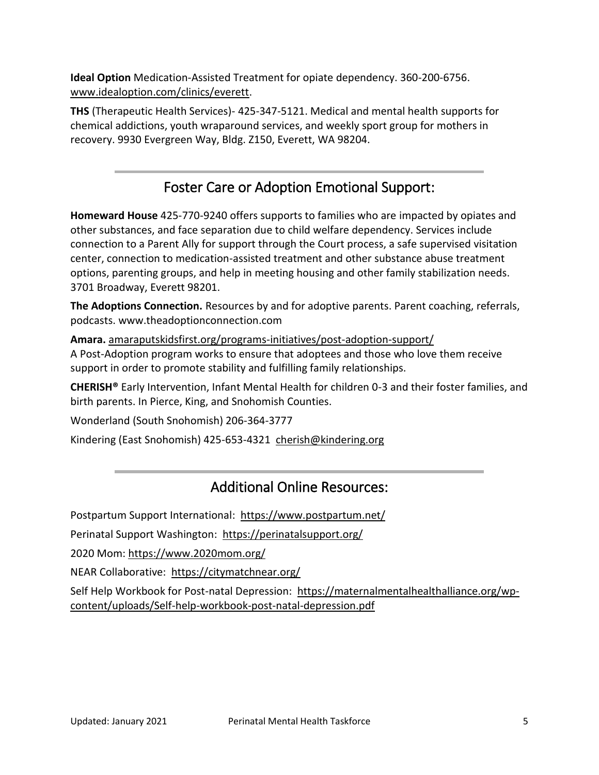**Ideal Option** Medication-Assisted Treatment for opiate dependency. 360-200-6756. [www.idealoption.com/clinics/everett.](https://www.idealoption.com/clinics/everett)

**THS** (Therapeutic Health Services)- 425-347-5121. Medical and mental health supports for chemical addictions, youth wraparound services, and weekly sport group for mothers in recovery. 9930 Evergreen Way, Bldg. Z150, Everett, WA 98204.

# Foster Care or Adoption Emotional Support:

**Homeward House** 425-770-9240 offers supports to families who are impacted by opiates and other substances, and face separation due to child welfare dependency. Services include connection to a Parent Ally for support through the Court process, a safe supervised visitation center, connection to medication-assisted treatment and other substance abuse treatment options, parenting groups, and help in meeting housing and other family stabilization needs. 3701 Broadway, Everett 98201.

**The Adoptions Connection.** Resources by and for adoptive parents. Parent coaching, referrals, podcasts. www.theadoptionconnection.com

**Amara.** [amaraputskidsfirst.org/programs-initiatives/post-adoption-support/](https://amaraputskidsfirst.org/programs-initiatives/post-adoption-support/)  A Post-Adoption program works to ensure that adoptees and those who love them receive support in order to promote stability and fulfilling family relationships.

**CHERISH®** Early Intervention, Infant Mental Health for children 0-3 and their foster families, and birth parents. In Pierce, King, and Snohomish Counties.

Wonderland (South Snohomish) 206-364-3777

Kindering (East Snohomish) 425-653-4321 [cherish@kindering.org](mailto:cherish@kindering.org) 

## Additional Online Resources:

Postpartum Support International: https://www.postpartum.net/

Perinatal Support Washington: <https://perinatalsupport.org/>

2020 Mom:<https://www.2020mom.org/>

NEAR Collaborative: <https://citymatchnear.org/>

Self Help Workbook for Post-natal Depression: [https://maternalmentalhealthalliance.org/wp](https://maternalmentalhealthalliance.org/wp-content/uploads/Self-help-workbook-post-natal-depression.pdf)[content/uploads/Self-help-workbook-post-natal-depression.pdf](https://maternalmentalhealthalliance.org/wp-content/uploads/Self-help-workbook-post-natal-depression.pdf)